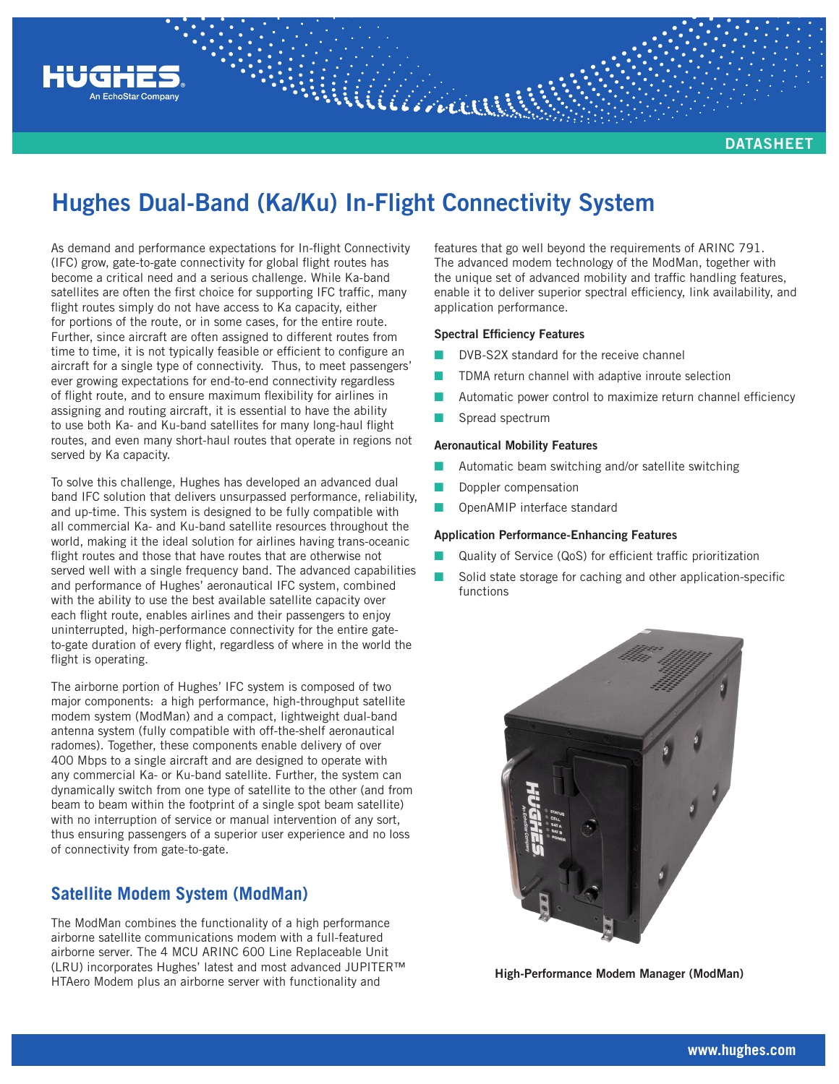

**DATASHEET**

# **Hughes Dual-Band (Ka/Ku) In-Flight Connectivity System**

Williaman

As demand and performance expectations for In-flight Connectivity (IFC) grow, gate-to-gate connectivity for global flight routes has become a critical need and a serious challenge. While Ka-band satellites are often the first choice for supporting IFC traffic, many flight routes simply do not have access to Ka capacity, either for portions of the route, or in some cases, for the entire route. Further, since aircraft are often assigned to different routes from time to time, it is not typically feasible or efficient to configure an aircraft for a single type of connectivity. Thus, to meet passengers' ever growing expectations for end-to-end connectivity regardless of flight route, and to ensure maximum flexibility for airlines in assigning and routing aircraft, it is essential to have the ability to use both Ka- and Ku-band satellites for many long-haul flight routes, and even many short-haul routes that operate in regions not served by Ka capacity.

To solve this challenge, Hughes has developed an advanced dual band IFC solution that delivers unsurpassed performance, reliability, and up-time. This system is designed to be fully compatible with all commercial Ka- and Ku-band satellite resources throughout the world, making it the ideal solution for airlines having trans-oceanic flight routes and those that have routes that are otherwise not served well with a single frequency band. The advanced capabilities and performance of Hughes' aeronautical IFC system, combined with the ability to use the best available satellite capacity over each flight route, enables airlines and their passengers to enjoy uninterrupted, high-performance connectivity for the entire gateto-gate duration of every flight, regardless of where in the world the flight is operating.

The airborne portion of Hughes' IFC system is composed of two major components: a high performance, high-throughput satellite modem system (ModMan) and a compact, lightweight dual-band antenna system (fully compatible with off-the-shelf aeronautical radomes). Together, these components enable delivery of over 400 Mbps to a single aircraft and are designed to operate with any commercial Ka- or Ku-band satellite. Further, the system can dynamically switch from one type of satellite to the other (and from beam to beam within the footprint of a single spot beam satellite) with no interruption of service or manual intervention of any sort, thus ensuring passengers of a superior user experience and no loss of connectivity from gate-to-gate.

## **Satellite Modem System (ModMan)**

The ModMan combines the functionality of a high performance airborne satellite communications modem with a full-featured airborne server. The 4 MCU ARINC 600 Line Replaceable Unit (LRU) incorporates Hughes' latest and most advanced JUPITER™ HTAero Modem plus an airborne server with functionality and

features that go well beyond the requirements of ARINC 791. The advanced modem technology of the ModMan, together with the unique set of advanced mobility and traffic handling features, enable it to deliver superior spectral efficiency, link availability, and application performance.

#### **Spectral Efficiency Features**

- DVB-S2X standard for the receive channel
- TDMA return channel with adaptive inroute selection
- Automatic power control to maximize return channel efficiency
- Spread spectrum

#### **Aeronautical Mobility Features**

- Automatic beam switching and/or satellite switching
- Doppler compensation
- Q OpenAMIP interface standard

#### **Application Performance-Enhancing Features**

- Quality of Service (QoS) for efficient traffic prioritization
- Solid state storage for caching and other application-specific functions



**High-Performance Modem Manager (ModMan)**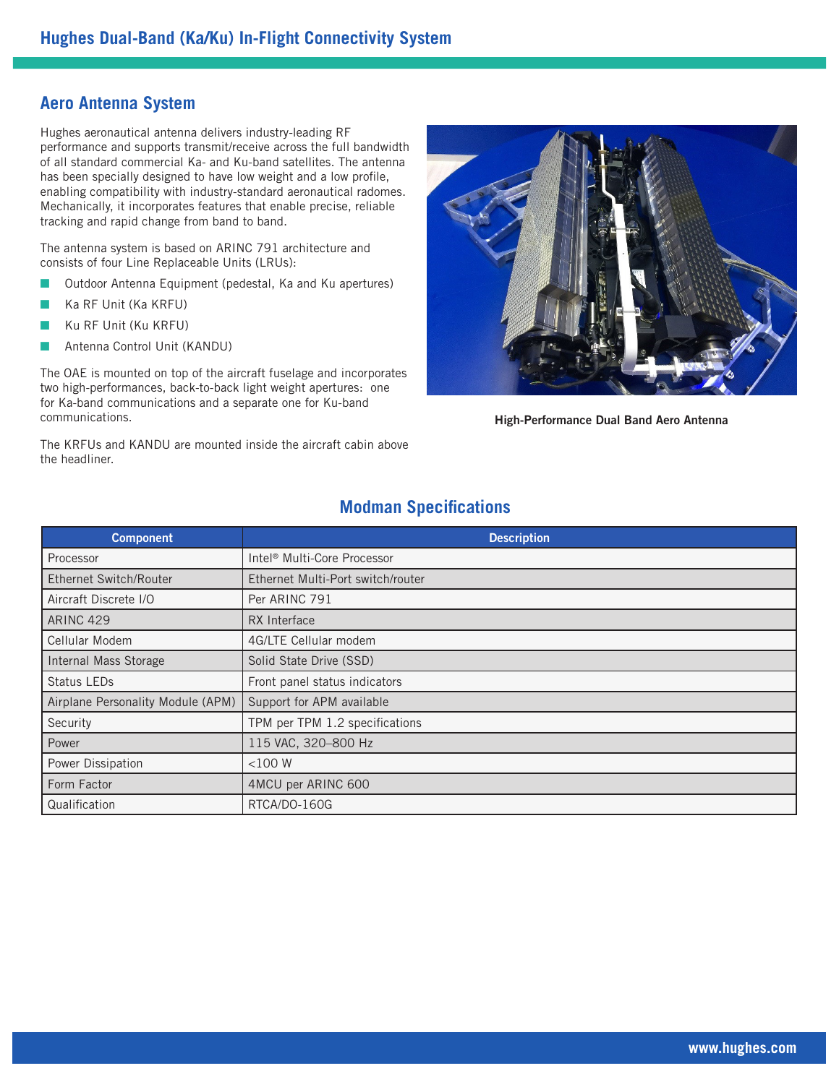## **Aero Antenna System**

Hughes aeronautical antenna delivers industry-leading RF performance and supports transmit/receive across the full bandwidth of all standard commercial Ka- and Ku-band satellites. The antenna has been specially designed to have low weight and a low profile, enabling compatibility with industry-standard aeronautical radomes. Mechanically, it incorporates features that enable precise, reliable tracking and rapid change from band to band.

The antenna system is based on ARINC 791 architecture and consists of four Line Replaceable Units (LRUs):

- **Q Outdoor Antenna Equipment (pedestal, Ka and Ku apertures)**
- Q Ka RF Unit (Ka KRFU)
- Q Ku RF Unit (Ku KRFU)
- Antenna Control Unit (KANDU)

The OAE is mounted on top of the aircraft fuselage and incorporates two high-performances, back-to-back light weight apertures: one for Ka-band communications and a separate one for Ku-band communications.

The KRFUs and KANDU are mounted inside the aircraft cabin above the headliner.



**High-Performance Dual Band Aero Antenna**

### **Modman Specifications**

| <b>Component</b>                  | <b>Description</b>                      |
|-----------------------------------|-----------------------------------------|
| Processor                         | Intel <sup>®</sup> Multi-Core Processor |
| <b>Ethernet Switch/Router</b>     | Ethernet Multi-Port switch/router       |
| Aircraft Discrete I/O             | Per ARINC 791                           |
| <b>ARINC 429</b>                  | RX Interface                            |
| Cellular Modem                    | 4G/LTE Cellular modem                   |
| Internal Mass Storage             | Solid State Drive (SSD)                 |
| Status LEDs                       | Front panel status indicators           |
| Airplane Personality Module (APM) | Support for APM available               |
| Security                          | TPM per TPM 1.2 specifications          |
| Power                             | 115 VAC, 320-800 Hz                     |
| Power Dissipation                 | $<$ 100 $W$                             |
| Form Factor                       | 4MCU per ARINC 600                      |
| Qualification                     | RTCA/DO-160G                            |